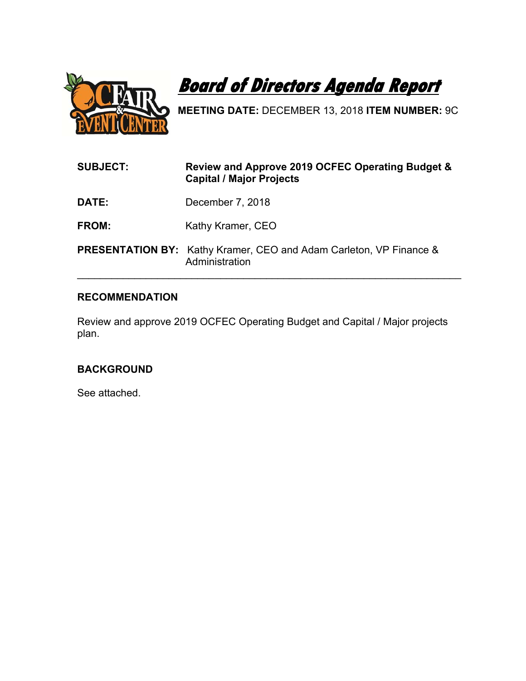

**Board of Directors Agenda Report** 

**MEETING DATE:** DECEMBER 13, 2018 **ITEM NUMBER:** 9C

| <b>SUBJECT:</b> | Review and Approve 2019 OCFEC Operating Budget &<br><b>Capital / Major Projects</b>         |
|-----------------|---------------------------------------------------------------------------------------------|
| DATE:           | December 7, 2018                                                                            |
| FROM:           | Kathy Kramer, CEO                                                                           |
|                 | <b>PRESENTATION BY:</b> Kathy Kramer, CEO and Adam Carleton, VP Finance &<br>Administration |

# **RECOMMENDATION**

Review and approve 2019 OCFEC Operating Budget and Capital / Major projects plan.

# **BACKGROUND**

See attached.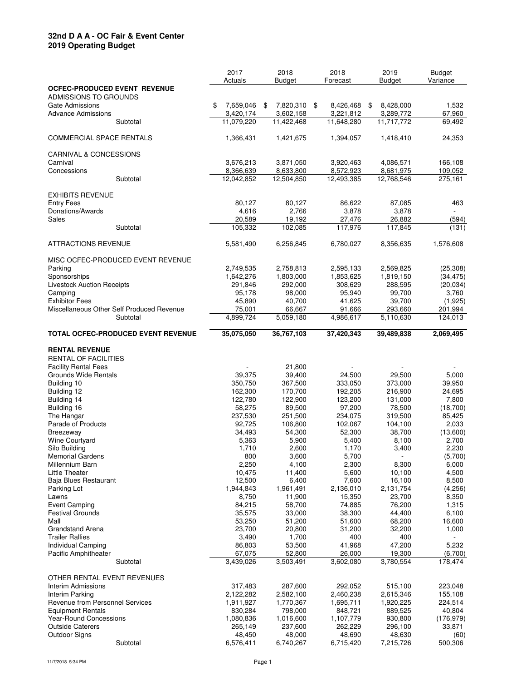### **32nd D A A - OC Fair & Event Center 2019 Operating Budget**

|                                                   | 2017                    | 2018                    | 2018                    | 2019                    | <b>Budget</b>    |
|---------------------------------------------------|-------------------------|-------------------------|-------------------------|-------------------------|------------------|
|                                                   | Actuals                 | <b>Budget</b>           | Forecast                | <b>Budget</b>           | Variance         |
| <b>OCFEC-PRODUCED EVENT REVENUE</b>               |                         |                         |                         |                         |                  |
| ADMISSIONS TO GROUNDS                             |                         |                         |                         |                         |                  |
| <b>Gate Admissions</b>                            | \$<br>7,659,046         | 7,820,310<br>\$         | \$<br>8,426,468         | \$<br>8,428,000         | 1,532            |
| <b>Advance Admissions</b><br>Subtotal             | 3,420,174<br>11,079,220 | 3,602,158<br>11,422,468 | 3,221,812<br>11,648,280 | 3,289,772<br>11,717,772 | 67,960<br>69,492 |
|                                                   |                         |                         |                         |                         |                  |
| <b>COMMERCIAL SPACE RENTALS</b>                   | 1,366,431               | 1,421,675               | 1,394,057               | 1,418,410               | 24,353           |
|                                                   |                         |                         |                         |                         |                  |
| CARNIVAL & CONCESSIONS                            |                         |                         |                         |                         |                  |
| Carnival                                          | 3,676,213               | 3,871,050               | 3,920,463               | 4,086,571               | 166,108          |
| Concessions                                       | 8,366,639               | 8,633,800               | 8,572,923               | 8,681,975               | 109,052          |
| Subtotal                                          | 12,042,852              | 12,504,850              | 12,493,385              | 12,768,546              | 275,161          |
|                                                   |                         |                         |                         |                         |                  |
| <b>EXHIBITS REVENUE</b>                           |                         |                         | 86,622                  |                         |                  |
| <b>Entry Fees</b><br>Donations/Awards             | 80,127<br>4,616         | 80,127<br>2,766         | 3,878                   | 87,085<br>3,878         | 463              |
| <b>Sales</b>                                      | 20,589                  | 19,192                  | 27,476                  | 26,882                  | (594)            |
| Subtotal                                          | 105,332                 | 102,085                 | 117,976                 | 117,845                 | (131)            |
|                                                   |                         |                         |                         |                         |                  |
| <b>ATTRACTIONS REVENUE</b>                        | 5,581,490               | 6,256,845               | 6,780,027               | 8,356,635               | 1,576,608        |
|                                                   |                         |                         |                         |                         |                  |
| MISC OCFEC-PRODUCED EVENT REVENUE                 |                         |                         |                         |                         |                  |
| Parking                                           | 2,749,535               | 2,758,813               | 2,595,133               | 2,569,825               | (25, 308)        |
| Sponsorships                                      | 1,642,276               | 1,803,000               | 1,853,625               | 1,819,150               | (34, 475)        |
| <b>Livestock Auction Receipts</b>                 | 291,846                 | 292,000                 | 308,629                 | 288,595                 | (20, 034)        |
| Camping<br><b>Exhibitor Fees</b>                  | 95,178<br>45,890        | 98,000<br>40,700        | 95,940<br>41,625        | 99,700<br>39,700        | 3,760<br>(1,925) |
| Miscellaneous Other Self Produced Revenue         | 75,001                  | 66,667                  | 91,666                  | 293,660                 | 201,994          |
| Subtotal                                          | 4,899,724               | 5,059,180               | 4,986,617               | 5,110,630               | 124,013          |
|                                                   |                         |                         |                         |                         |                  |
| <b>TOTAL OCFEC-PRODUCED EVENT REVENUE</b>         | 35,075,050              | 36,767,103              | 37,420,343              | 39,489,838              | 2,069,495        |
|                                                   |                         |                         |                         |                         |                  |
| <b>RENTAL REVENUE</b>                             |                         |                         |                         |                         |                  |
| <b>RENTAL OF FACILITIES</b>                       |                         |                         |                         |                         |                  |
| <b>Facility Rental Fees</b>                       |                         | 21,800                  |                         |                         |                  |
| Grounds Wide Rentals                              | 39,375                  | 39,400                  | 24,500                  | 29,500                  | 5,000            |
| Building 10                                       | 350,750                 | 367,500                 | 333,050                 | 373,000                 | 39,950           |
| Building 12<br>Building 14                        | 162,300<br>122,780      | 170,700<br>122,900      | 192,205<br>123,200      | 216,900<br>131,000      | 24,695<br>7,800  |
| Building 16                                       | 58,275                  | 89,500                  | 97,200                  | 78,500                  | (18,700)         |
| The Hangar                                        | 237,530                 | 251,500                 | 234,075                 | 319,500                 | 85,425           |
| Parade of Products                                | 92,725                  | 106,800                 | 102,067                 | 104,100                 | 2,033            |
| <b>Breezeway</b>                                  | 34,493                  | 54,300                  | 52,300                  | 38,700                  | (13,600)         |
| Wine Courtyard                                    | 5,363                   | 5,900                   | 5,400                   | 8,100                   | 2,700            |
| Silo Building                                     | 1,710                   | 2,600                   | 1,170                   | 3,400                   | 2,230            |
| <b>Memorial Gardens</b>                           | 800                     | 3,600                   | 5,700                   |                         | (5,700)          |
| Millennium Barn                                   | 2,250                   | 4,100                   | 2,300                   | 8,300                   | 6,000            |
| <b>Little Theater</b>                             | 10,475                  | 11,400                  | 5,600                   | 10,100                  | 4,500            |
| Baja Blues Restaurant<br>Parking Lot              | 12,500<br>1,944,843     | 6,400<br>1,961,491      | 7,600<br>2,136,010      | 16,100<br>2,131,754     | 8,500<br>(4,256) |
| Lawns                                             | 8,750                   | 11,900                  | 15,350                  | 23,700                  | 8,350            |
| <b>Event Camping</b>                              | 84,215                  | 58,700                  | 74,885                  | 76,200                  | 1,315            |
| <b>Festival Grounds</b>                           | 35,575                  | 33,000                  | 38,300                  | 44,400                  | 6,100            |
| Mall                                              | 53,250                  | 51,200                  | 51,600                  | 68,200                  | 16,600           |
| <b>Grandstand Arena</b>                           | 23,700                  | 20,800                  | 31,200                  | 32,200                  | 1,000            |
| <b>Trailer Rallies</b>                            | 3,490                   | 1,700                   | 400                     | 400                     |                  |
| Individual Camping                                | 86,803                  | 53,500                  | 41,968                  | 47,200                  | 5,232            |
| Pacific Amphitheater                              | 67,075                  | 52,800                  | 26,000                  | 19,300                  | (6,700)          |
| Subtotal                                          | 3,439,026               | 3,503,491               | 3,602,080               | 3,780,554               | 178,474          |
|                                                   |                         |                         |                         |                         |                  |
| OTHER RENTAL EVENT REVENUES<br>Interim Admissions | 317,483                 | 287,600                 | 292,052                 | 515,100                 | 223,048          |
| Interim Parking                                   | 2,122,282               | 2,582,100               | 2,460,238               | 2,615,346               | 155,108          |
| Revenue from Personnel Services                   | 1,911,927               | 1,770,367               | 1,695,711               | 1,920,225               | 224,514          |
| <b>Equipment Rentals</b>                          | 830,284                 | 798,000                 | 848,721                 | 889,525                 | 40,804           |
| <b>Year-Round Concessions</b>                     | 1,080,836               | 1,016,600               | 1,107,779               | 930,800                 | (176, 979)       |
| <b>Outside Caterers</b>                           | 265,149                 | 237,600                 | 262,229                 | 296,100                 | 33,871           |
| <b>Outdoor Signs</b>                              | 48,450                  | 48,000                  | 48,690                  | 48,630                  | (60)             |
| Subtotal                                          | 6,576,411               | 6,740,267               | 6,715,420               | 7,215,726               | 500,306          |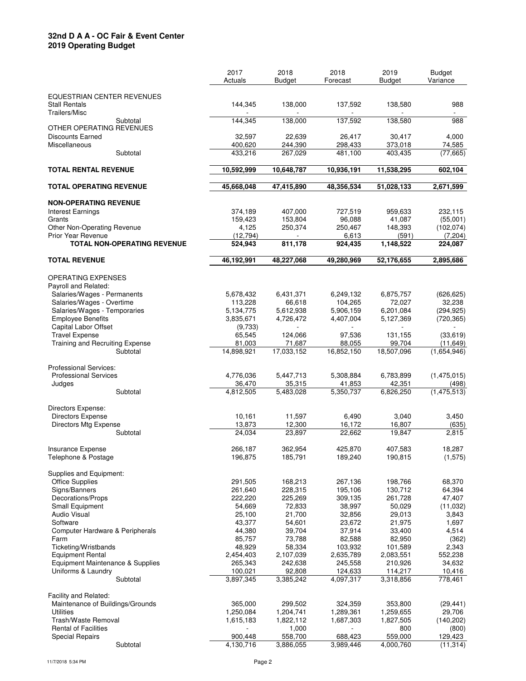### **32nd D A A - OC Fair & Event Center 2019 Operating Budget**

|                                    | 2017       | 2018           | 2018       | 2019          | <b>Budget</b> |
|------------------------------------|------------|----------------|------------|---------------|---------------|
|                                    | Actuals    | Budget         | Forecast   | <b>Budget</b> | Variance      |
|                                    |            |                |            |               |               |
| EQUESTRIAN CENTER REVENUES         |            |                |            |               |               |
| <b>Stall Rentals</b>               | 144,345    | 138,000        | 137,592    | 138,580       | 988           |
| Trailers/Misc                      |            |                |            |               |               |
| Subtotal                           | 144,345    | 138,000        | 137,592    | 138,580       | 988           |
| OTHER OPERATING REVENUES           |            |                |            |               |               |
| <b>Discounts Earned</b>            | 32,597     | 22,639         | 26,417     | 30,417        | 4,000         |
| Miscellaneous                      | 400,620    | 244,390        | 298,433    | 373,018       | 74,585        |
| Subtotal                           | 433,216    | 267,029        | 481,100    | 403,435       | (77, 665)     |
| <b>TOTAL RENTAL REVENUE</b>        | 10,592,999 |                |            |               |               |
|                                    |            | 10,648,787     | 10,936,191 | 11,538,295    | 602,104       |
| <b>TOTAL OPERATING REVENUE</b>     | 45,668,048 | 47,415,890     | 48,356,534 | 51,028,133    | 2,671,599     |
|                                    |            |                |            |               |               |
| <b>NON-OPERATING REVENUE</b>       |            |                |            |               |               |
| Interest Earnings                  | 374,189    | 407,000        | 727,519    | 959,633       | 232,115       |
| Grants                             | 159,423    | 153,804        | 96,088     | 41,087        | (55,001)      |
| Other Non-Operating Revenue        | 4,125      | 250,374        | 250,467    | 148,393       | (102, 074)    |
| <b>Prior Year Revenue</b>          | (12, 794)  | $\blacksquare$ | 6,613      | (591)         | (7,204)       |
| <b>TOTAL NON-OPERATING REVENUE</b> | 524,943    | 811,178        | 924,435    | 1,148,522     | 224,087       |
|                                    |            |                |            |               |               |
| <b>TOTAL REVENUE</b>               | 46,192,991 | 48,227,068     | 49,280,969 | 52,176,655    | 2,895,686     |
|                                    |            |                |            |               |               |
| OPERATING EXPENSES                 |            |                |            |               |               |
| Payroll and Related:               |            |                |            |               |               |
| Salaries/Wages - Permanents        | 5,678,432  | 6,431,371      | 6,249,132  | 6,875,757     | (626, 625)    |
| Salaries/Wages - Overtime          | 113,228    | 66,618         | 104,265    | 72,027        | 32,238        |
| Salaries/Wages - Temporaries       | 5,134,775  | 5,612,938      | 5,906,159  | 6,201,084     | (294, 925)    |
| <b>Employee Benefits</b>           | 3,835,671  | 4,726,472      | 4,407,004  | 5,127,369     | (720, 365)    |
| Capital Labor Offset               | (9,733)    |                |            |               |               |
| <b>Travel Expense</b>              | 65,545     | 124,066        | 97,536     | 131,155       | (33, 619)     |
| Training and Recruiting Expense    | 81,003     | 71,687         | 88,055     | 99,704        | (11, 649)     |
| Subtotal                           | 14,898,921 | 17,033,152     | 16,852,150 | 18,507,096    | (1,654,946)   |
| <b>Professional Services:</b>      |            |                |            |               |               |
| <b>Professional Services</b>       | 4,776,036  | 5,447,713      | 5,308,884  | 6,783,899     | (1,475,015)   |
| Judges                             | 36,470     | 35,315         | 41,853     | 42,351        | (498)         |
| Subtotal                           | 4,812,505  | 5,483,028      | 5,350,737  | 6,826,250     | (1, 475, 513) |
|                                    |            |                |            |               |               |
| Directors Expense:                 |            |                |            |               |               |
| <b>Directors Expense</b>           | 10,161     | 11,597         | 6,490      | 3,040         | 3,450         |
| Directors Mtg Expense              | 13,873     | 12,300         | 16,172     | 16,807        | (635)         |
| Subtotal                           | 24,034     | 23,897         | 22,662     | 19,847        | 2,815         |
|                                    |            |                |            |               |               |
| <b>Insurance Expense</b>           | 266,187    | 362,954        | 425,870    | 407,583       | 18,287        |
| Telephone & Postage                | 196,875    | 185,791        | 189,240    | 190,815       | (1, 575)      |
|                                    |            |                |            |               |               |
| Supplies and Equipment:            |            |                |            |               |               |
| <b>Office Supplies</b>             | 291,505    | 168,213        | 267,136    | 198,766       | 68,370        |
| Signs/Banners                      | 261,640    | 228,315        | 195,106    | 130,712       | 64,394        |
| Decorations/Props                  | 222,220    | 225,269        | 309,135    | 261,728       | 47,407        |
| Small Equipment                    | 54,669     | 72,833         | 38,997     | 50,029        | (11,032)      |
| <b>Audio Visual</b>                | 25,100     | 21,700         | 32,856     | 29,013        | 3,843         |
| Software                           | 43,377     | 54,601         | 23,672     | 21,975        | 1,697         |
| Computer Hardware & Peripherals    | 44,380     | 39,704         | 37,914     | 33,400        | 4,514         |
| Farm                               | 85,757     | 73,788         | 82,588     | 82,950        | (362)         |
| Ticketing/Wristbands               | 48,929     | 58,334         | 103,932    | 101,589       | 2,343         |
| <b>Equipment Rental</b>            | 2,454,403  | 2,107,039      | 2,635,789  | 2,083,551     | 552,238       |
| Equipment Maintenance & Supplies   | 265,343    | 242,638        | 245,558    | 210,926       | 34,632        |
| Uniforms & Laundry                 | 100,021    | 92,808         | 124,633    | 114,217       | 10,416        |
| Subtotal                           | 3,897,345  | 3,385,242      | 4,097,317  | 3,318,856     | 778,461       |
| Facility and Related:              |            |                |            |               |               |
| Maintenance of Buildings/Grounds   | 365,000    | 299,502        | 324,359    | 353,800       | (29, 441)     |
| <b>Utilities</b>                   | 1,250,084  | 1,204,741      | 1,289,361  | 1,259,655     | 29,706        |
| Trash/Waste Removal                | 1,615,183  | 1,822,112      | 1,687,303  | 1,827,505     | (140, 202)    |
| <b>Rental of Facilities</b>        |            | 1,000          |            | 800           | (800)         |
| Special Repairs                    | 900,448    | 558,700        | 688,423    | 559,000       | 129,423       |
| Subtotal                           | 4,130,716  | 3,886,055      | 3,989,446  | 4,000,760     | (11, 314)     |
|                                    |            |                |            |               |               |